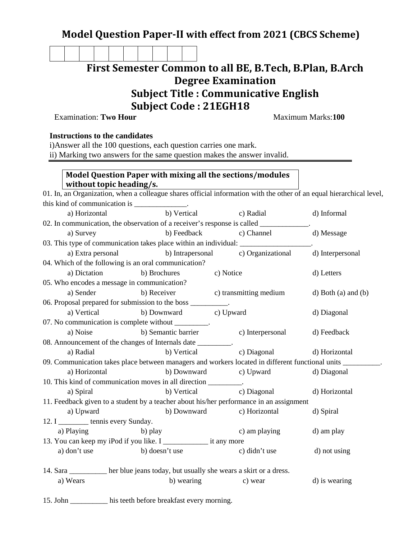## **Model Question Paper-II with effect from 2021 (CBCS Scheme)**

**First Semester Common to all BE, B.Tech, B.Plan, B.Arch Degree Examination Subject Title : Communicative English**

## **Subject Code : 21EGH18**

Examination: **Two Hour Maximum Marks:100** 

## **Instructions to the candidates**

i)Answer all the 100 questions, each question carries one mark.

ii) Marking two answers for the same question makes the answer invalid.

## **Model Question Paper with mixing all the sections/modules without topic heading/s.**

| 01. In, an Organization, when a colleague shares official information with the other of an equal hierarchical level, |                       |                                                                                                               |                       |  |  |
|----------------------------------------------------------------------------------------------------------------------|-----------------------|---------------------------------------------------------------------------------------------------------------|-----------------------|--|--|
| this kind of communication is _______________.                                                                       |                       |                                                                                                               |                       |  |  |
| a) Horizontal                                                                                                        | b) Vertical           | c) Radial                                                                                                     | d) Informal           |  |  |
|                                                                                                                      |                       | 02. In communication, the observation of a receiver's response is called ____________.                        |                       |  |  |
| a) Survey                                                                                                            |                       | b) Feedback c) Channel                                                                                        | d) Message            |  |  |
| 03. This type of communication takes place within an individual:                                                     |                       |                                                                                                               |                       |  |  |
| a) Extra personal                                                                                                    |                       | b) Intrapersonal c) Organizational                                                                            | d) Interpersonal      |  |  |
| 04. Which of the following is an oral communication?                                                                 |                       |                                                                                                               |                       |  |  |
| a) Dictation                                                                                                         | b) Brochures          | c) Notice                                                                                                     | d) Letters            |  |  |
| 05. Who encodes a message in communication?                                                                          |                       |                                                                                                               |                       |  |  |
| a) Sender                                                                                                            | b) Receiver           | c) transmitting medium                                                                                        | $d)$ Both (a) and (b) |  |  |
| 06. Proposal prepared for submission to the boss __________.                                                         |                       |                                                                                                               |                       |  |  |
| a) Vertical                                                                                                          | b) Downward c) Upward |                                                                                                               | d) Diagonal           |  |  |
| 07. No communication is complete without ________.                                                                   |                       |                                                                                                               |                       |  |  |
| a) Noise                                                                                                             | b) Semantic barrier   | c) Interpersonal                                                                                              | d) Feedback           |  |  |
| 08. Announcement of the changes of Internals date _________.                                                         |                       |                                                                                                               |                       |  |  |
| a) Radial                                                                                                            | b) Vertical           | c) Diagonal                                                                                                   | d) Horizontal         |  |  |
|                                                                                                                      |                       | 09. Communication takes place between managers and workers located in different functional units ____________ |                       |  |  |
| a) Horizontal                                                                                                        | b) Downward           | c) Upward                                                                                                     | d) Diagonal           |  |  |
| 10. This kind of communication moves in all direction _________.                                                     |                       |                                                                                                               |                       |  |  |
| a) Spiral                                                                                                            | b) Vertical           | c) Diagonal                                                                                                   | d) Horizontal         |  |  |
| 11. Feedback given to a student by a teacher about his/her performance in an assignment                              |                       |                                                                                                               |                       |  |  |
| a) Upward                                                                                                            | b) Downward           | c) Horizontal                                                                                                 | d) Spiral             |  |  |
| 12. I ___________ tennis every Sunday.                                                                               |                       |                                                                                                               |                       |  |  |
| a) Playing                                                                                                           | b) play               | c) am playing                                                                                                 | d) am play            |  |  |
| 13. You can keep my iPod if you like. I ____________________ it any more                                             |                       |                                                                                                               |                       |  |  |
| a) don't use                                                                                                         | b) doesn't use        | c) didn't use                                                                                                 | d) not using          |  |  |
|                                                                                                                      |                       |                                                                                                               |                       |  |  |
| 14. Sara her blue jeans today, but usually she wears a skirt or a dress.                                             |                       |                                                                                                               |                       |  |  |
| a) Wears                                                                                                             | b) wearing            | c) wear                                                                                                       | d) is wearing         |  |  |
|                                                                                                                      |                       |                                                                                                               |                       |  |  |

15. John \_\_\_\_\_\_\_\_\_\_ his teeth before breakfast every morning.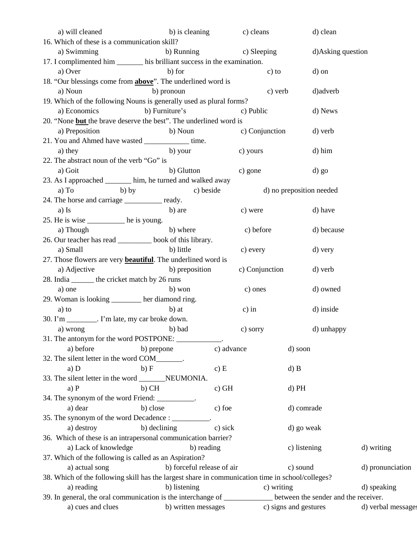| a) will cleaned                                                                                                 | b) is cleaning                                              | c) cleans                          | d) clean           |                    |
|-----------------------------------------------------------------------------------------------------------------|-------------------------------------------------------------|------------------------------------|--------------------|--------------------|
| 16. Which of these is a communication skill?                                                                    |                                                             |                                    |                    |                    |
| a) Swimming                                                                                                     |                                                             | b) Running c) Sleeping             | d) Asking question |                    |
| 17. I complimented him ________ his brilliant success in the examination.                                       |                                                             |                                    |                    |                    |
| a) Over                                                                                                         | b) for                                                      | $c)$ to                            | d) on              |                    |
| 18. "Our blessings come from <b>above</b> ". The underlined word is                                             |                                                             |                                    |                    |                    |
| a) Noun                                                                                                         | b) pronoun                                                  | c) verb                            | d) adverb          |                    |
| 19. Which of the following Nouns is generally used as plural forms?                                             |                                                             |                                    |                    |                    |
| a) Economics b) Furniture's                                                                                     |                                                             | c) Public                          | d) News            |                    |
| 20. "None but the brave deserve the best". The underlined word is                                               |                                                             |                                    |                    |                    |
| a) Preposition                                                                                                  | b) Noun                                                     | c) Conjunction                     | d) verb            |                    |
| 21. You and Ahmed have wasted _____________ time.                                                               |                                                             |                                    |                    |                    |
| a) they                                                                                                         |                                                             | b) your c) yours                   | d) him             |                    |
| 22. The abstract noun of the verb "Go" is                                                                       |                                                             |                                    |                    |                    |
| a) Goit                                                                                                         | b) Glutton                                                  | c) gone                            | d) go              |                    |
| 23. As I approached ______ him, he turned and walked away                                                       |                                                             |                                    |                    |                    |
| $b)$ by<br>a) To                                                                                                |                                                             |                                    |                    |                    |
|                                                                                                                 |                                                             | c) beside d) no preposition needed |                    |                    |
| 24. The horse and carriage ___________ ready.                                                                   |                                                             |                                    |                    |                    |
| a) Is                                                                                                           | b) are                                                      | c) were                            | d) have            |                    |
| 25. He is wise ______________ he is young.                                                                      |                                                             |                                    |                    |                    |
| a) Though                                                                                                       | b) where                                                    | c) before                          | d) because         |                    |
| 26. Our teacher has read __________ book of this library.                                                       |                                                             |                                    |                    |                    |
| a) Small                                                                                                        | b) little                                                   | c) every                           | d) very            |                    |
| 27. Those flowers are very <b>beautiful</b> . The underlined word is                                            |                                                             |                                    |                    |                    |
| a) Adjective                                                                                                    | b) preposition                                              | c) Conjunction                     | d) verb            |                    |
| 28. India ________ the cricket match by 26 runs                                                                 |                                                             |                                    |                    |                    |
| a) one                                                                                                          | b) won                                                      | c) ones                            | d) owned           |                    |
| 29. Woman is looking ______ her diamond ring.                                                                   |                                                             |                                    |                    |                    |
| a) to                                                                                                           | b) at                                                       | $c)$ in                            | d) inside          |                    |
| 30. I'm ________. I'm late, my car broke down.                                                                  |                                                             |                                    |                    |                    |
| a) wrong                                                                                                        | b) bad                                                      | c) sorry                           | d) unhappy         |                    |
| 31. The antonym for the word POSTPONE: ____________.                                                            |                                                             |                                    |                    |                    |
| a) before                                                                                                       | b) prepone                                                  | c) advance                         | d) soon            |                    |
| 32. The silent letter in the word COM                                                                           |                                                             |                                    |                    |                    |
| a) D                                                                                                            | b) F                                                        | c) E                               | $d)$ B             |                    |
|                                                                                                                 |                                                             |                                    |                    |                    |
| a) P                                                                                                            | $b)$ CH                                                     | $c)$ GH                            | $d$ ) PH           |                    |
| 34. The synonym of the word Friend: __________.                                                                 |                                                             |                                    |                    |                    |
| a) dear                                                                                                         | b) close                                                    | c) foe                             | d) comrade         |                    |
| 35. The synonym of the word Decadence : __________.                                                             |                                                             |                                    |                    |                    |
| a) destroy                                                                                                      | b) declining                                                | c) sick                            | d) go weak         |                    |
| 36. Which of these is an intrapersonal communication barrier?                                                   |                                                             |                                    |                    |                    |
| a) Lack of knowledge                                                                                            | b) reading                                                  |                                    | c) listening       | d) writing         |
| 37. Which of the following is called as an Aspiration?                                                          |                                                             |                                    |                    |                    |
| a) actual song                                                                                                  | b) forceful release of air                                  |                                    | c) sound           | d) pronunciation   |
| 38. Which of the following skill has the largest share in communication time in school/colleges?                |                                                             |                                    |                    |                    |
| a) reading                                                                                                      | b) listening                                                | c) writing                         |                    | d) speaking        |
| 39. In general, the oral communication is the interchange of _____________ between the sender and the receiver. |                                                             |                                    |                    |                    |
|                                                                                                                 | a) cues and clues b) written messages c) signs and gestures |                                    |                    | d) verbal messages |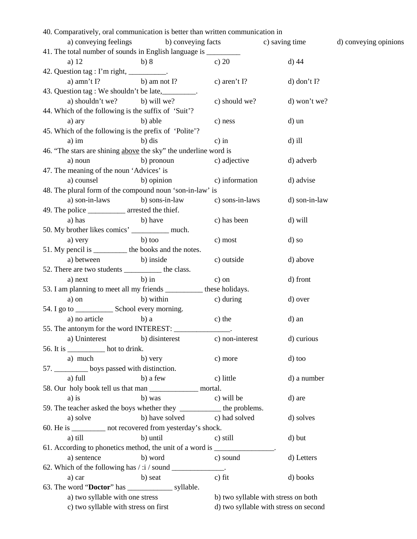| 40. Comparatively, oral communication is better than written communication in |                              |                          |                                       |                       |
|-------------------------------------------------------------------------------|------------------------------|--------------------------|---------------------------------------|-----------------------|
| a) conveying feelings                                                         | b) conveying facts           |                          | c) saving time                        | d) conveying opinions |
| 41. The total number of sounds in English language is _________               |                              |                          |                                       |                       |
| a) $12$                                                                       | b) 8                         | c) $20$                  | $d)$ 44                               |                       |
| 42. Question tag : I'm right, __________.                                     |                              |                          |                                       |                       |
| a) amn't $I$ ? b) amnot $I$ ?                                                 |                              | c) aren't $\Gamma$ ?     | $d)$ don't I?                         |                       |
| 43. Question tag : We shouldn't be late, _________.                           |                              |                          |                                       |                       |
| a) shouldn't we? b) will we?                                                  |                              | c) should we?            | d) won't we?                          |                       |
| 44. Which of the following is the suffix of 'Suit'?                           |                              |                          |                                       |                       |
| a) ary                                                                        | b) able                      | c) ness                  | d) un                                 |                       |
| 45. Which of the following is the prefix of 'Polite'?                         |                              |                          |                                       |                       |
| $a)$ im                                                                       | b) dis                       | $c)$ in                  | $d$ ) ill                             |                       |
| 46. "The stars are shining above the sky" the underline word is               |                              |                          |                                       |                       |
| a) noun                                                                       | b) pronoun                   | c) adjective             | d) adverb                             |                       |
| 47. The meaning of the noun 'Advices' is                                      |                              |                          |                                       |                       |
| a) counsel                                                                    | b) opinion                   | c) information           | d) advise                             |                       |
| 48. The plural form of the compound noun 'son-in-law' is                      |                              |                          |                                       |                       |
| a) son-in-laws                                                                | b) sons-in-law               | c) sons-in-laws          | d) son-in-law                         |                       |
| 49. The police _____________ arrested the thief.                              |                              |                          |                                       |                       |
| a) has                                                                        | b) have                      | c) has been              | d) will                               |                       |
| 50. My brother likes comics' __________ much.                                 |                              |                          |                                       |                       |
| a) very                                                                       | $b)$ too                     | c) most                  | d) so                                 |                       |
| 51. My pencil is ___________ the books and the notes.                         |                              |                          |                                       |                       |
| a) between b) inside                                                          |                              | c) outside               | d) above                              |                       |
| 52. There are two students ____________ the class.                            |                              |                          |                                       |                       |
| a) next                                                                       | $b)$ in                      | $c)$ on                  | d) front                              |                       |
| 53. I am planning to meet all my friends ____________ these holidays.         |                              |                          |                                       |                       |
| a) on                                                                         | b) within                    | c) during                | d) over                               |                       |
| 54. I go to ________________ School every morning.                            |                              |                          |                                       |                       |
| a) no article                                                                 | b) a                         | c) the                   | d) an                                 |                       |
| 55. The antonym for the word INTEREST:                                        |                              |                          |                                       |                       |
| a) Uninterest b) disinterest                                                  |                              | c) non-interest          | d) curious                            |                       |
| 56. It is ____________ hot to drink.                                          |                              |                          |                                       |                       |
| a) much                                                                       | b) very                      | c) more                  | d) too                                |                       |
| 57. ___________ boys passed with distinction.                                 |                              |                          |                                       |                       |
| a) full                                                                       | b) a few                     | c) little                | d) a number                           |                       |
|                                                                               |                              |                          |                                       |                       |
| $a)$ is                                                                       | b) was                       | c) will be               | d) are                                |                       |
| 59. The teacher asked the boys whether they _____________ the problems.       |                              |                          |                                       |                       |
| a) solve                                                                      | b) have solved c) had solved |                          | d) solves                             |                       |
| 60. He is __________ not recovered from yesterday's shock.                    |                              |                          |                                       |                       |
| a) till                                                                       | b) until                     | c) still                 | d) but                                |                       |
| 61. According to phonetics method, the unit of a word is ______________.      |                              |                          |                                       |                       |
| a) sentence                                                                   | b) word                      | c) sound                 | d) Letters                            |                       |
|                                                                               |                              | $\overline{\phantom{a}}$ |                                       |                       |
| a) car                                                                        | b) seat                      | $c)$ fit                 | d) books                              |                       |
|                                                                               |                              |                          |                                       |                       |
| a) two syllable with one stress                                               |                              |                          | b) two syllable with stress on both   |                       |
| c) two syllable with stress on first                                          |                              |                          | d) two syllable with stress on second |                       |
|                                                                               |                              |                          |                                       |                       |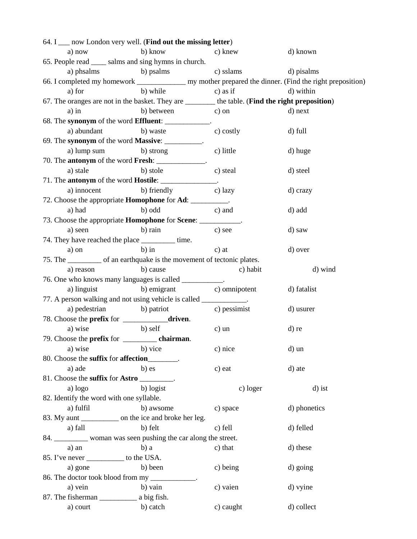| 64. I say London very well. (Find out the missing letter)                                      |                                       |                        |                                                                                                          |
|------------------------------------------------------------------------------------------------|---------------------------------------|------------------------|----------------------------------------------------------------------------------------------------------|
| a) now                                                                                         | b) know                               | c) knew                | d) known                                                                                                 |
| 65. People read ______ salms and sing hymns in church.                                         |                                       |                        |                                                                                                          |
| a) phsalms b) psalms                                                                           |                                       | c) sslams              | d) pisalms                                                                                               |
|                                                                                                |                                       |                        | 66. I completed my homework ________________ my mother prepared the dinner. (Find the right preposition) |
| a) for                                                                                         | b) while                              | $\frac{1}{2}$ c) as if | d) within                                                                                                |
| 67. The oranges are not in the basket. They are ______ the table. (Find the right preposition) |                                       |                        |                                                                                                          |
| $a)$ in                                                                                        | b) between c) on                      |                        | d) next                                                                                                  |
| 68. The synonym of the word Effluent: ____________.                                            |                                       |                        |                                                                                                          |
|                                                                                                | a) abundant b) waste                  | c) costly              | d) full                                                                                                  |
| 69. The synonym of the word Massive: __________.                                               |                                       |                        |                                                                                                          |
|                                                                                                | a) lump sum b) strong                 | c) little              | d) huge                                                                                                  |
| 70. The <b>antonym</b> of the word <b>Fresh</b> : ______________.                              |                                       |                        |                                                                                                          |
| a) stale                                                                                       | b) stole                              | c) steal               | d) steel                                                                                                 |
| 71. The <b>antonym</b> of the word <b>Hostile</b> : _________________.                         |                                       |                        |                                                                                                          |
|                                                                                                | a) innocent b) friendly c) lazy       |                        | d) crazy                                                                                                 |
| 72. Choose the appropriate <b>Homophone</b> for <b>Ad</b> : ___________.                       |                                       |                        |                                                                                                          |
| a) had                                                                                         | b) odd                                | c) and                 | d) add                                                                                                   |
| 73. Choose the appropriate <b>Homophone</b> for <b>Scene</b> : ____________.                   |                                       |                        |                                                                                                          |
| a) seen                                                                                        | b) rain                               | c) see                 | d) saw                                                                                                   |
| 74. They have reached the place __________ time.                                               |                                       |                        |                                                                                                          |
| a) on                                                                                          | $b)$ in                               | $c)$ at                | d) over                                                                                                  |
| 75. The ___________ of an earthquake is the movement of tectonic plates.                       |                                       |                        |                                                                                                          |
| a) reason                                                                                      | b) cause                              | c) habit               | d) wind                                                                                                  |
| 76. One who knows many languages is called __________.                                         |                                       |                        |                                                                                                          |
| a) linguist                                                                                    | b) emigrant c) omnipotent             |                        | d) fatalist                                                                                              |
| 77. A person walking and not using vehicle is called ___________.                              |                                       |                        |                                                                                                          |
|                                                                                                | a) pedestrian b) patriot c) pessimist |                        | d) usurer                                                                                                |
| 78. Choose the <b>prefix</b> for ______________ <b>driven</b> .                                |                                       |                        |                                                                                                          |
| a) wise                                                                                        | b) self                               | $c)$ un                | d) re                                                                                                    |
|                                                                                                |                                       |                        |                                                                                                          |
| a) wise                                                                                        | b) vice                               | c) nice                | d) un                                                                                                    |
| 80. Choose the suffix for affection_______.                                                    |                                       |                        |                                                                                                          |
| a) ade                                                                                         | b) es                                 | c) eat                 | d) ate                                                                                                   |
| 81. Choose the suffix for Astro ________.                                                      |                                       |                        |                                                                                                          |
| a) logo                                                                                        | b) logist                             | c) loger               | d) ist                                                                                                   |
| 82. Identify the word with one syllable.                                                       |                                       |                        |                                                                                                          |
| a) fulfil                                                                                      | b) awsome                             | c) space               | d) phonetics                                                                                             |
| 83. My aunt ______________ on the ice and broke her leg.                                       |                                       |                        |                                                                                                          |
| a) fall                                                                                        | b) felt                               | c) fell                | d) felled                                                                                                |
| 84. ___________ woman was seen pushing the car along the street.                               |                                       |                        |                                                                                                          |
| a) an                                                                                          | $b$ ) a                               | c) that                | d) these                                                                                                 |
| 85. I've never ____________ to the USA.                                                        |                                       |                        |                                                                                                          |
| a) gone                                                                                        | b) been                               | c) being               | d) going                                                                                                 |
| 86. The doctor took blood from my ___________.                                                 | b) vain                               |                        |                                                                                                          |
| a) vein                                                                                        |                                       | c) vaien               | d) vyine                                                                                                 |
| a) court                                                                                       | b) catch                              | c) caught              | d) collect                                                                                               |
|                                                                                                |                                       |                        |                                                                                                          |